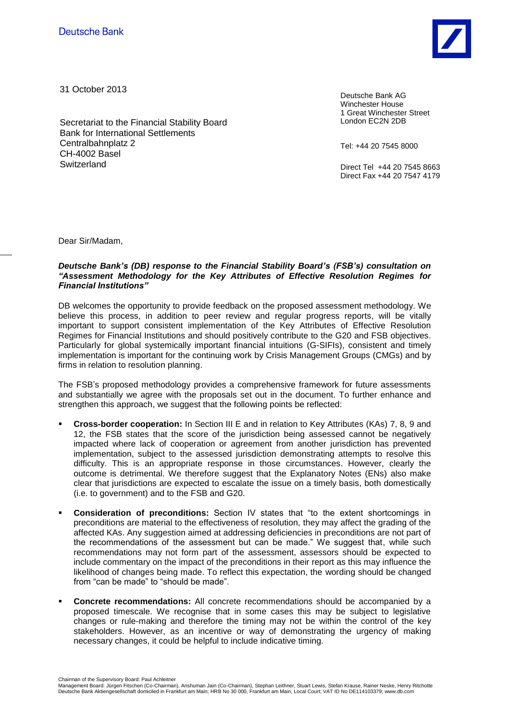

31 October 2013

Secretariat to the Financial Stability Board Bank for International Settlements Centralbahnplatz 2 CH-4002 Basel **Switzerland** 

Deutsche Bank AG Winchester House 1 Great Winchester Street London EC2N 2DB

Tel: +44 20 7545 8000

Direct Tel +44 20 7545 8663 Direct Fax +44 20 7547 4179

Dear Sir/Madam,

## *Deutsche Bank's (DB) response to the Financial Stability Board's (FSB's) consultation on "Assessment Methodology for the Key Attributes of Effective Resolution Regimes for Financial Institutions"*

DB welcomes the opportunity to provide feedback on the proposed assessment methodology. We believe this process, in addition to peer review and regular progress reports, will be vitally important to support consistent implementation of the Key Attributes of Effective Resolution Regimes for Financial Institutions and should positively contribute to the G20 and FSB objectives. Particularly for global systemically important financial intuitions (G-SIFIs), consistent and timely implementation is important for the continuing work by Crisis Management Groups (CMGs) and by firms in relation to resolution planning.

The FSB's proposed methodology provides a comprehensive framework for future assessments and substantially we agree with the proposals set out in the document. To further enhance and strengthen this approach, we suggest that the following points be reflected:

- **Cross-border cooperation:** In Section III E and in relation to Key Attributes (KAs) 7, 8, 9 and 12, the FSB states that the score of the jurisdiction being assessed cannot be negatively impacted where lack of cooperation or agreement from another jurisdiction has prevented implementation, subject to the assessed jurisdiction demonstrating attempts to resolve this difficulty. This is an appropriate response in those circumstances. However, clearly the outcome is detrimental. We therefore suggest that the Explanatory Notes (ENs) also make clear that jurisdictions are expected to escalate the issue on a timely basis, both domestically (i.e. to government) and to the FSB and G20.
- **Consideration of preconditions:** Section IV states that "to the extent shortcomings in preconditions are material to the effectiveness of resolution, they may affect the grading of the affected KAs. Any suggestion aimed at addressing deficiencies in preconditions are not part of the recommendations of the assessment but can be made." We suggest that, while such recommendations may not form part of the assessment, assessors should be expected to include commentary on the impact of the preconditions in their report as this may influence the likelihood of changes being made. To reflect this expectation, the wording should be changed from "can be made" to "should be made".
- **Concrete recommendations:** All concrete recommendations should be accompanied by a proposed timescale. We recognise that in some cases this may be subject to legislative changes or rule-making and therefore the timing may not be within the control of the key stakeholders. However, as an incentive or way of demonstrating the urgency of making necessary changes, it could be helpful to include indicative timing.

Chairman of the Supervisory Board: Paul Achleitner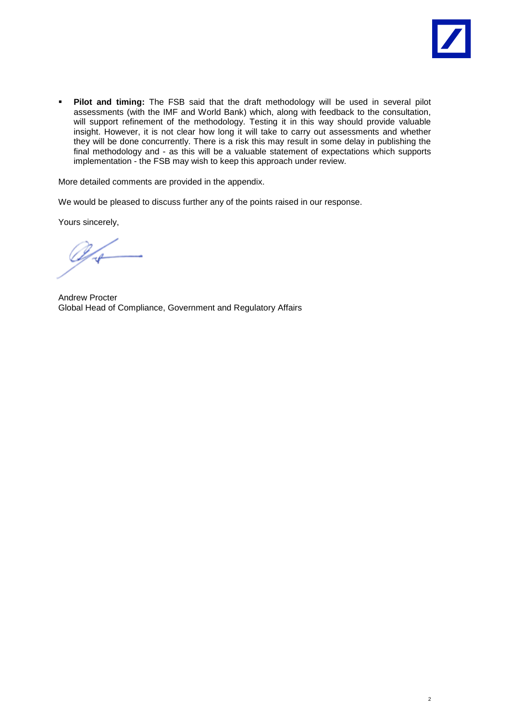

**Pilot and timing:** The FSB said that the draft methodology will be used in several pilot assessments (with the IMF and World Bank) which, along with feedback to the consultation, will support refinement of the methodology. Testing it in this way should provide valuable insight. However, it is not clear how long it will take to carry out assessments and whether they will be done concurrently. There is a risk this may result in some delay in publishing the final methodology and - as this will be a valuable statement of expectations which supports implementation - the FSB may wish to keep this approach under review.

More detailed comments are provided in the appendix.

We would be pleased to discuss further any of the points raised in our response.

Yours sincerely,

Andrew Procter Global Head of Compliance, Government and Regulatory Affairs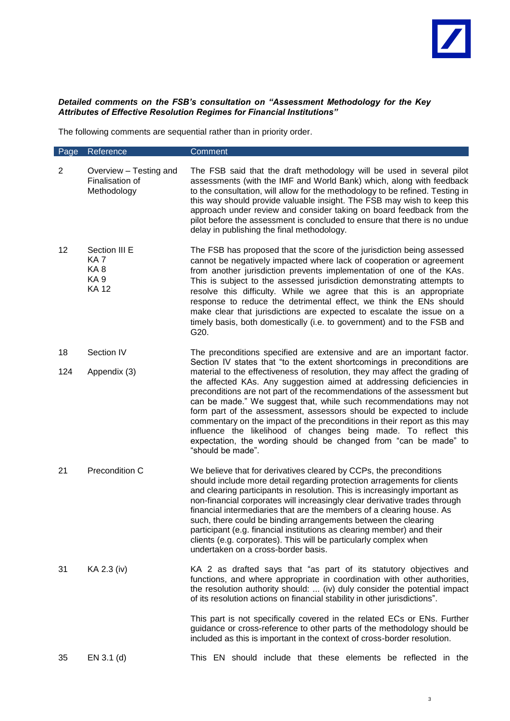## *Detailed comments on the FSB's consultation on "Assessment Methodology for the Key Attributes of Effective Resolution Regimes for Financial Institutions"*

The following comments are sequential rather than in priority order.

| Page           | Reference                                                                 | Comment                                                                                                                                                                                                                                                                                                                                                                                                                                                                                                                                                                                                                                                                                         |
|----------------|---------------------------------------------------------------------------|-------------------------------------------------------------------------------------------------------------------------------------------------------------------------------------------------------------------------------------------------------------------------------------------------------------------------------------------------------------------------------------------------------------------------------------------------------------------------------------------------------------------------------------------------------------------------------------------------------------------------------------------------------------------------------------------------|
| $\overline{2}$ | Overview - Testing and<br>Finalisation of<br>Methodology                  | The FSB said that the draft methodology will be used in several pilot<br>assessments (with the IMF and World Bank) which, along with feedback<br>to the consultation, will allow for the methodology to be refined. Testing in<br>this way should provide valuable insight. The FSB may wish to keep this<br>approach under review and consider taking on board feedback from the<br>pilot before the assessment is concluded to ensure that there is no undue<br>delay in publishing the final methodology.                                                                                                                                                                                    |
| 12             | Section III E<br>KA <sub>7</sub><br>KA8<br>KA <sub>9</sub><br><b>KA12</b> | The FSB has proposed that the score of the jurisdiction being assessed<br>cannot be negatively impacted where lack of cooperation or agreement<br>from another jurisdiction prevents implementation of one of the KAs.<br>This is subject to the assessed jurisdiction demonstrating attempts to<br>resolve this difficulty. While we agree that this is an appropriate<br>response to reduce the detrimental effect, we think the ENs should<br>make clear that jurisdictions are expected to escalate the issue on a<br>timely basis, both domestically (i.e. to government) and to the FSB and<br>G20.                                                                                       |
| 18             | Section IV                                                                | The preconditions specified are extensive and are an important factor.                                                                                                                                                                                                                                                                                                                                                                                                                                                                                                                                                                                                                          |
| 124            | Appendix (3)                                                              | Section IV states that "to the extent shortcomings in preconditions are<br>material to the effectiveness of resolution, they may affect the grading of<br>the affected KAs. Any suggestion aimed at addressing deficiencies in<br>preconditions are not part of the recommendations of the assessment but<br>can be made." We suggest that, while such recommendations may not<br>form part of the assessment, assessors should be expected to include<br>commentary on the impact of the preconditions in their report as this may<br>influence the likelihood of changes being made. To reflect this<br>expectation, the wording should be changed from "can be made" to<br>"should be made". |
| 21             | Precondition C                                                            | We believe that for derivatives cleared by CCPs, the preconditions<br>should include more detail regarding protection arragements for clients<br>and clearing participants in resolution. This is increasingly important as<br>non-financial corporates will increasingly clear derivative trades through<br>financial intermediaries that are the members of a clearing house. As<br>such, there could be binding arrangements between the clearing<br>participant (e.g. financial institutions as clearing member) and their<br>clients (e.g. corporates). This will be particularly complex when<br>undertaken on a cross-border basis.                                                      |
| 31             | KA 2.3 (iv)                                                               | KA 2 as drafted says that "as part of its statutory objectives and<br>functions, and where appropriate in coordination with other authorities,<br>the resolution authority should:  (iv) duly consider the potential impact<br>of its resolution actions on financial stability in other jurisdictions".                                                                                                                                                                                                                                                                                                                                                                                        |
|                |                                                                           | This part is not specifically covered in the related ECs or ENs. Further<br>guidance or cross-reference to other parts of the methodology should be<br>included as this is important in the context of cross-border resolution.                                                                                                                                                                                                                                                                                                                                                                                                                                                                 |
| 35             | $EN 3.1$ (d)                                                              | This EN should include that these elements be reflected in the                                                                                                                                                                                                                                                                                                                                                                                                                                                                                                                                                                                                                                  |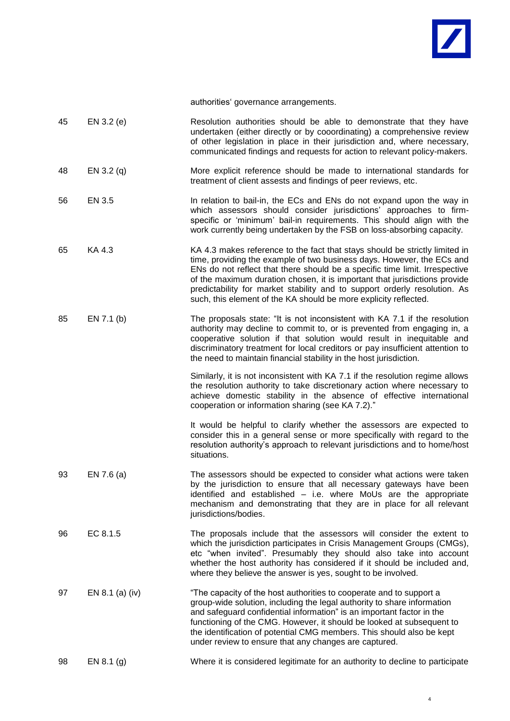

authorities' governance arrangements.

| 45 | EN 3.2 (e)      | Resolution authorities should be able to demonstrate that they have<br>undertaken (either directly or by cooordinating) a comprehensive review<br>of other legislation in place in their jurisdiction and, where necessary,<br>communicated findings and requests for action to relevant policy-makers.                                                                                                                                                             |
|----|-----------------|---------------------------------------------------------------------------------------------------------------------------------------------------------------------------------------------------------------------------------------------------------------------------------------------------------------------------------------------------------------------------------------------------------------------------------------------------------------------|
| 48 | EN 3.2 (q)      | More explicit reference should be made to international standards for<br>treatment of client assests and findings of peer reviews, etc.                                                                                                                                                                                                                                                                                                                             |
| 56 | EN 3.5          | In relation to bail-in, the ECs and ENs do not expand upon the way in<br>which assessors should consider jurisdictions' approaches to firm-<br>specific or 'minimum' bail-in requirements. This should align with the<br>work currently being undertaken by the FSB on loss-absorbing capacity.                                                                                                                                                                     |
| 65 | KA 4.3          | KA 4.3 makes reference to the fact that stays should be strictly limited in<br>time, providing the example of two business days. However, the ECs and<br>ENs do not reflect that there should be a specific time limit. Irrespective<br>of the maximum duration chosen, it is important that jurisdictions provide<br>predictability for market stability and to support orderly resolution. As<br>such, this element of the KA should be more explicity reflected. |
| 85 | EN 7.1(b)       | The proposals state: "It is not inconsistent with KA 7.1 if the resolution<br>authority may decline to commit to, or is prevented from engaging in, a<br>cooperative solution if that solution would result in inequitable and<br>discriminatory treatment for local creditors or pay insufficient attention to<br>the need to maintain financial stability in the host jurisdiction.                                                                               |
|    |                 | Similarly, it is not inconsistent with KA 7.1 if the resolution regime allows<br>the resolution authority to take discretionary action where necessary to<br>achieve domestic stability in the absence of effective international<br>cooperation or information sharing (see KA 7.2)."                                                                                                                                                                              |
|    |                 | It would be helpful to clarify whether the assessors are expected to<br>consider this in a general sense or more specifically with regard to the<br>resolution authority's approach to relevant jurisdictions and to home/host<br>situations.                                                                                                                                                                                                                       |
| 93 | EN 7.6 $(a)$    | The assessors should be expected to consider what actions were taken<br>by the jurisdiction to ensure that all necessary gateways have been<br>identified and established - i.e. where MoUs are the appropriate<br>mechanism and demonstrating that they are in place for all relevant<br>jurisdictions/bodies.                                                                                                                                                     |
| 96 | EC 8.1.5        | The proposals include that the assessors will consider the extent to<br>which the jurisdiction participates in Crisis Management Groups (CMGs),<br>etc "when invited". Presumably they should also take into account<br>whether the host authority has considered if it should be included and,<br>where they believe the answer is yes, sought to be involved.                                                                                                     |
| 97 | EN 8.1 (a) (iv) | "The capacity of the host authorities to cooperate and to support a<br>group-wide solution, including the legal authority to share information<br>and safeguard confidential information" is an important factor in the<br>functioning of the CMG. However, it should be looked at subsequent to<br>the identification of potential CMG members. This should also be kept<br>under review to ensure that any changes are captured.                                  |
| 98 | EN $8.1$ (g)    | Where it is considered legitimate for an authority to decline to participate                                                                                                                                                                                                                                                                                                                                                                                        |